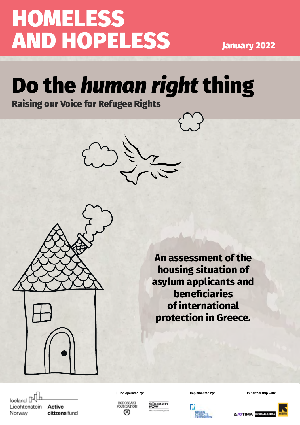# **HOMELESS** AND HOPELESS January 2022

## Do the *human right* thing Raising our Voice for Refugee Rights





**An assessment of the housing situation of asylum applicants and beneficiaries of international protection in Greece.**

Iceland P Liechtenstein Norway

Active citizens fund **Fund operated by: Implemented by: In partnership with:**







**A/OTIMA POPAGAI** 

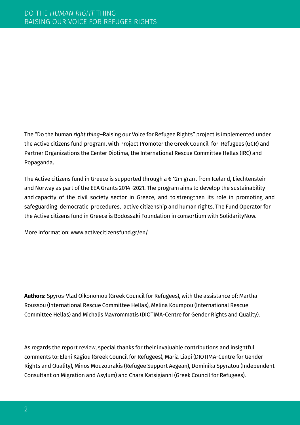Τhe "Do the human *right thing*–Raising our Voice for Refugee Rights" project is implemented under the Active citizens fund program, with Project Promoter the Greek Council for Refugees (GCR) and Partner Organizations the Center Diotima, the International Rescue Committee Hellas (IRC) and Popaganda.

The Active citizens fund in Greece is supported through a € 12m grant from Iceland, Liechtenstein and Norway as part of the EEA Grants 2014 -2021. The program aims to develop the sustainability and capacity of the civil society sector in Greece, and to strengthen its role in promoting and safeguarding democratic procedures, active citizenship and human rights. The Fund Operator for the Active citizens fund in Greece is Bodossaki Foundation in consortium with SolidarityNow.

More information: [www.activecitizensfund.gr/en/](http://www.activecitizensfund.gr/en/)

**Authors:** Spyros-Vlad Oikonomou (Greek Council for Refugees), with the assistance of: Martha Roussou (International Rescue Committee Hellas), Melina Koumpou (International Rescue Committee Hellas) and Michalis Mavrommatis (DIOTIMA-Centre for Gender Rights and Quality).

As regards the report review, special thanks for their invaluable contributions and insightful comments to: Eleni Kagiou (Greek Council for Refugees), Maria Liapi (DIOTIMA-Centre for Gender Rights and Quality), Minos Mouzourakis (Refugee Support Aegean), Dominika Spyratou (Independent Consultant on Migration and Asylum) and Chara Katsigianni (Greek Council for Refugees).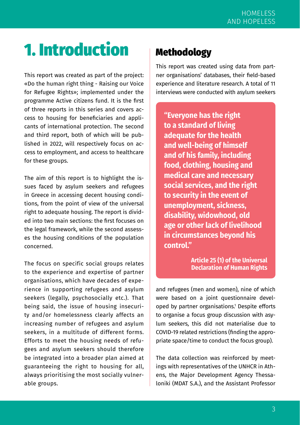## 1. Introduction

This report was created as part of the project: «Do the human right thing - Raising our Voice for Refugee Rights»; implemented under the programme [Active citizens fund](https://www.activecitizensfund.gr/ergo/do-the-human-right-thing-ypsonoyme-ti-foni-mas-gia-ta-dikaiomata-ton-prosfygon/). It is the first of three reports in this series and covers access to housing for beneficiaries and applicants of international protection. The second and third report, both of which will be published in 2022, will respectively focus on access to employment, and access to healthcare for these groups.

The aim of this report is to highlight the issues faced by asylum seekers and refugees in Greece in accessing decent housing conditions, from the point of view of the universal right to adequate housing. The report is divided into two main sections: the first focuses on the legal framework, while the second assesses the housing conditions of the population concerned.

The focus on specific social groups relates to the experience and expertise of partner organisations, which have decades of experience in supporting refugees and asylum seekers (legally, psychosocially etc.). That being said, the issue of housing insecurity and/or homelessness clearly affects an increasing number of refugees and asylum seekers, in a multitude of different forms. Efforts to meet the housing needs of refugees and asylum seekers should therefore be integrated into a broader plan aimed at guaranteeing the right to housing for all, always prioritising the most socially vulnerable groups.

## **Methodology**

This report was created using data from partner organisations' databases, their field-based experience and literature research. A total of 11 interviews were conducted with asylum seekers

**"Everyone has the right to a standard of living adequate for the health and well-being of himself and of his family, including food, clothing, housing and medical care and necessary social services, and the right to security in the event of unemployment, sickness, disability, widowhood, old age or other lack of livelihood in circumstances beyond his control."**

> **Article 25 (1) of the Universal Declaration of Human Rights**

and refugees (men and women), nine of which were based on a joint questionnaire developed by partner organisations.1 Despite efforts to organise a focus group discussion with asylum seekers, this did not materialise due to COVID-19 related restrictions (finding the appropriate space/time to conduct the focus group).

The data collection was reinforced by meetings with representatives of the UNΗCR in Athens, the Major Development Agency Thessaloniki (MDAT S.A.), and the Assistant Professor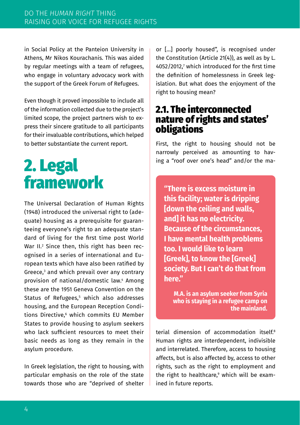in Social Policy at the Panteion University in Athens, Mr Nikos Kourachanis. This was aided by regular meetings with a team of refugees, who engage in voluntary advocacy work with the support of the Greek Forum of Refugees.

Even though it proved impossible to include all of the information collected due to the project's limited scope, the project partners wish to express their sincere gratitude to all participants for their invaluable contributions, which helped to better substantiate the current report.

## 2. Legal framework

The [Universal Declaration of Human Rights](https://www.un.org/en/about-us/universal-declaration-of-human-rights) (1948) introduced the universal right to (adequate) housing as a prerequisite for guaranteeing everyone's right to an adequate standard of living for the first time post World War II.<sup>2</sup> Since then, this right has been recognised in a series of international and European texts which have also been ratified by Greece,3 and which prevail over any contrary provision of national/domestic law.4 Among these are the 1951 Geneva Convention on the Status of Refugees,5 which also addresses housing, and the European Reception Conditions Directive, $^6$  which commits EU Member States to provide housing to asylum seekers who lack sufficient resources to meet their basic needs as long as they remain in the asylum procedure.

In Greek legislation, the right to housing, with particular emphasis on the role of the state towards those who are "deprived of shelter

or […] poorly housed", is recognised under the Constitution (Article 21(4)), as well as by L.  $4052/2012$ , which introduced for the first time the definition of homelessness in Greek legislation. But what does the enjoyment of the right to housing mean?

### 2.1. The interconnected nature of rights and states' obligations

First, the right to housing should not be narrowly perceived as amounting to having a "roof over one's head" and/or the ma-

**"There is excess moisture in this facility; water is dripping [down the ceiling and walls, and] it has no electricity. Because of the circumstances, I have mental health problems too. I would like to learn [Greek], to know the [Greek] society. But I can't do that from here."** 

**M.A. is an asylum seeker from Syria who is staying in a refugee camp on the mainland.**

terial dimension of accommodation itself<sup>8</sup> Human rights are interdependent, indivisible and interrelated. Therefore, access to housing affects, but is also affected by, access to other rights, such as the right to employment and the right to healthcare,<sup>9</sup> which will be examined in future reports.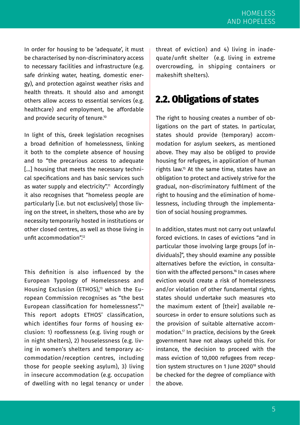In order for housing to be 'adequate', it must be characterised by non-discriminatory access to necessary facilities and infrastructure (e.g. safe drinking water, heating, domestic energy), and protection against weather risks and health threats. It should also and amongst others allow access to essential services (e.g. healthcare) and employment, be affordable and provide security of tenure.<sup>10</sup>

In light of this, Greek legislation recognises a broad definition of homelessness, linking it both to the complete absence of housing and to "the precarious access to adequate [...] housing that meets the necessary technical specifications and has basic services such as water supply and electricity".<sup>11</sup> Accordingly it also recognises that "homeless people are particularly [i.e. but not exclusively] those living on the street, in shelters, those who are by necessity temporarily hosted in institutions or other closed centres, as well as those living in unfit accommodation"<sup>12</sup>

This definition is also influenced by the European Typology of Homelessness and Housing Exclusion (ETHOS),<sup>13</sup> which the European Commission recognises as "the best European classification for homelessness".<sup>14</sup> This report adopts ETHOS' classification, which identifies four forms of housing exclusion: 1) rooflessness (e.g. living rough or in night shelters), 2) houselessness (e.g. living in women's shelters and temporary accommodation/reception centres, including those for people seeking asylum), 3) living in insecure accommodation (e.g. occupation of dwelling with no legal tenancy or under

threat of eviction) and 4) living in inadequate/unfit shelter (e.g. living in extreme overcrowding, in shipping containers or makeshift shelters).

### 2.2. Obligations of states

The right to housing creates a number of obligations on the part of states. In particular, states should provide (temporary) accommodation for asylum seekers, as mentioned above. They may also be obliged to provide housing for refugees, in application of human rights law.15 At the same time, states have an obligation to protect and actively strive for the gradual, non-discriminatory fulfilment of the right to housing and the elimination of homelessness, including through the implementation of social housing programmes.

In addition, states must not carry out unlawful forced evictions. In cases of evictions "and in particular those involving large groups [of individuals]", they should examine any possible alternatives before the eviction, in consultation with the affected persons.<sup>16</sup> In cases where eviction would create a risk of homelessness and/or violation of other fundamental rights states should undertake such measures «to the maximum extent of [their] available resources» in order to ensure solutions such as the provision of suitable alternative accommodation.17 In practice, decisions by the Greek government have not always upheld this. For instance, the decision to proceed with the mass eviction of 10,000 refugees from reception system structures on 1 June 2020<sup>18</sup> should be checked for the degree of compliance with the above.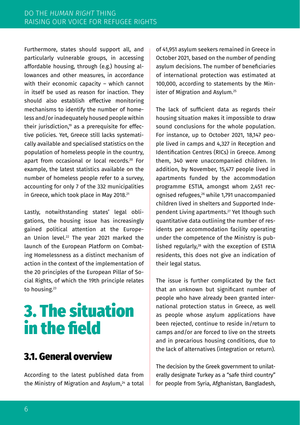Furthermore, states should support all, and particularly vulnerable groups, in accessing affordable housing, through (e.g.) housing allowances and other measures, in accordance with their economic capacity – which cannot in itself be used as reason for inaction. They should also establish effective monitoring mechanisms to identify the number of homeless and/or inadequately housed people within their jurisdiction,<sup>19</sup> as a prerequisite for effective policies. Yet, Greece still lacks systematically available and specialised statistics on the population of homeless people in the country, apart from occasional or local records.<sup>20</sup> For example, the latest statistics available on the number of homeless people refer to a survey, accounting for only 7 of the 332 municipalities in Greece, which took place in May 2018.<sup>21</sup>

Lastly, notwithstanding states' legal obligations, the housing issue has increasingly gained political attention at the European Union level.<sup>22</sup> The year 2021 marked the launch of the European Platform on Combating Homelessness as a distinct mechanism of action in the context of the implementation of the 20 principles of the European Pillar of Social Rights, of which the 19th principle relates to housing.23

## 3. The situation in the field

### 3.1. General overview

According to the latest published data from the Ministry of Migration and Asylum.<sup>24</sup> a total of 41,951 asylum seekers remained in Greece in October 2021, based on the number of pending asylum decisions. The number of beneficiaries of international protection was estimated at 100,000, according to statements by the Minister of Migration and Asylum.25

The lack of sufficient data as regards their housing situation makes it impossible to draw sound conclusions for the whole population. For instance, up to October 2021, 18,147 people lived in camps and 4,327 in Reception and Identification Centres (RICs) in Greece. Among them, 340 were unaccompanied children. In addition, by November, 15,477 people lived in apartments funded by the accommodation programme ESTIA, amongst whom 2,451 recognised refugees,26 while 1,791 unaccompanied children lived in shelters and Supported Independent Living apartments.27 Yet lthough such quantitative data outlining the number of residents per accommodation facility operating under the competence of the Ministry is published regularly,<sup>28</sup> with the exception of ESTIA residents, this does not give an indication of their legal status.

The issue is further complicated by the fact that an unknown but significant number of people who have already been granted international protection status in Greece, as well as people whose asylum applications have been rejected, continue to reside in/return to camps and/or are forced to live on the streets and in precarious housing conditions, due to the lack of alternatives (integration or return).

The decision by the Greek government to unilaterally designate Turkey as a "safe third country" for people from Syria, Afghanistan, Bangladesh,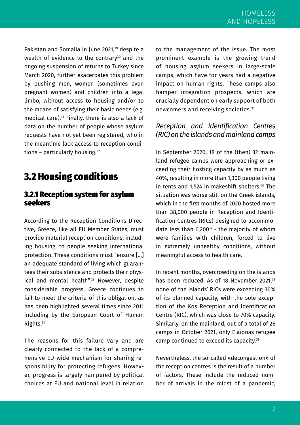Pakistan and Somalia in June 2021,<sup>29</sup> despite a wealth of evidence to the contrary<sup>30</sup> and the ongoing suspension of returns to Turkey since March 2020, further exacerbates this problem by pushing men, women (sometimes even pregnant women) and children into a legal limbo, without access to housing and/or to the means of satisfying their basic needs (e.g. medical care).31 Finally, there is also a lack of data on the number of people whose asylum requests have not yet been registered, who in the meantime lack access to reception conditions - particularly housing.<sup>32</sup>

## 3.2 Housing conditions

#### 3.2.1 Reception system for asylum seekers

According to [the Reception Conditions Direc](https://eur-lex.europa.eu/legal-content/EN/TXT/PDF/?uri=CELEX:32013L0033&from=EN)[tive](https://eur-lex.europa.eu/legal-content/EN/TXT/PDF/?uri=CELEX:32013L0033&from=EN), Greece, like all EU Member States, must provide material reception conditions, including housing, to people seeking international protection. These conditions must "ensure […] an adequate standard of living which guarantees their subsistence and protects their physical and mental health".<sup>33</sup> However, despite considerable progress, Greece continues to fail to meet the criteria of this obligation, as has been highlighted several times since 2011 including by the European Court of Human Rights.34

The reasons for this failure vary and are clearly connected to the lack of a comprehensive EU-wide mechanism for sharing responsibility for protecting refugees. However, progress is largely hampered by political choices at EU and national level in relation

to the management of the issue. The most prominent example is the growing trend of housing asylum seekers in large-scale camps, which have for years had a negative impact on human rights. These camps also hamper integration prospects, which are crucially dependent on early support of both newcomers and receiving societies.35

#### *Reception and Identification Centres (RIC) on the islands and mainland camps*

In September 2020, 18 of the (then) 32 mainland refugee camps were approaching or exceeding their hosting capacity by as much as 40%, resulting in more than 1,300 people living in tents and 1,524 in makeshift shelters.36 The situation was worse still on the Greek islands, which in the first months of 2020 hosted more than 38,000 people in Reception and Identification Centres (RICs) designed to accommodate less than  $6,200^{37}$  - the majority of whom were families with children, forced to live in extremely unhealthy conditions, without meaningful access to health care.

In recent months, overcrowding on the islands has been reduced. As of 18 November 2021.<sup>38</sup> none of the islands' RICs were exceeding 30% of its planned capacity, with the sole exception of the Kos Reception and Identification Centre (RIC), which was close to 70% capacity. Similarly, on the mainland, out of a total of 26 camps in October 2021, only Elaionas refugee camp continued to exceed its capacity.39

Nevertheless, the so-called «decongestion» of the reception centres is the result of a number of factors. These include the reduced number of arrivals in the midst of a pandemic,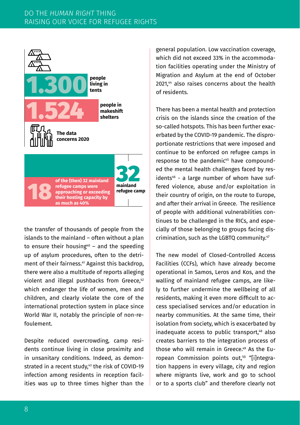

the transfer of thousands of people from the islands to the mainland – often without a plan **people**  to ensure their housing $40$  – and the speeding up of asylum procedures, often to the detriment of their fairness.41 Against this backdrop, **people in**  there were also a multitude of reports alleging violent and illegal pushbacks from Greece,42 **shelters** which endanger the life of women, men and **The data**  children, and clearly violate the core of the **concerns 2020** international protection system in place since World War II, notably the principle of non-refoulement. stands to the maintand<br>o ensure their housin<br>p of asylum procedui nent of their fairness<br>here were also a mult<br>iolent and illegal pı i<sup>40</sup> – an **makeshift** 

Despite reduced overcrowding, camp residents continue living in close proximity and in unsanitary conditions. Indeed, as demonstrated in a recent study, $43$  the risk of COVID-19 infection among residents in reception facilities was up to three times higher than the

general population. Low vaccination coverage, which did not exceed 33% in the accommodation facilities operating under the Ministry of Migration and Asylum at the end of October 2021,44 also raises concerns about the health of residents.

There has been a mental health and protection crisis on the islands since the creation of the so-called hotspots. This has been further exacerbated by the COVID-19 pandemic. The disproportionate restrictions that were imposed and continue to be enforced on refugee camps in response to the pandemic<sup>45</sup> have compounded the mental health challenges faced by residents<sup>46</sup> - a large number of whom have suffered violence, abuse and/or exploitation in their country of origin, on the route to Europe, and after their arrival in Greece. The resilience of people with additional vulnerabilities continues to be challenged in the RICs, and especially of those belonging to groups facing discrimination, such as the LGBTQ community.47

The new model of Closed-Controlled Access Facilities (CCFs), which have already become operational in Samos, Leros and Kos, and the walling of mainland refugee camps, are likely to further undermine the wellbeing of all residents, making it even more difficult to access specialised services and/or education in nearby communities. At the same time, their isolation from society, which is exacerbated by inadequate access to public transport,<sup>48</sup> also creates barriers to the integration process of those who will remain in Greece.49 As the European Commission points out,<sup>50</sup> "[i]ntegration happens in every village, city and region where migrants live, work and go to school or to a sports club" and therefore clearly not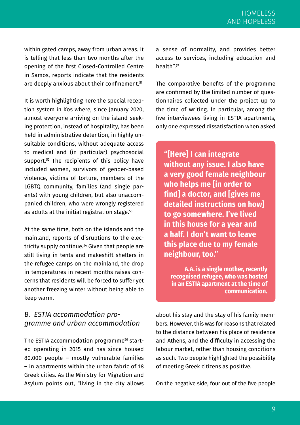within gated camps, away from urban areas. It is telling that less than two months after the opening of the first Closed-Controlled Centre in Samos, reports indicate that the residents are deeply anxious about their confinement.<sup>51</sup>

It is worth highlighting here the special reception system in Kos where, since January 2020, almost everyone arriving on the island seeking protection, instead of hospitality, has been held in administrative detention, in highly unsuitable conditions, without adequate access to medical and (in particular) psychosocial support.<sup>52</sup> The recipients of this policy have included women, survivors of gender-based violence, victims of torture, members of the LGBTQ community, families (and single parents) with young children, but also unaccompanied children, who were wrongly registered as adults at the initial registration stage.<sup>53</sup>

At the same time, both on the islands and the mainland, reports of disruptions to the electricity supply continue.54 Given that people are still living in tents and makeshift shelters in the refugee camps on the mainland, the drop in temperatures in recent months raises concerns that residents will be forced to suffer yet another freezing winter without being able to keep warm.

#### *B. ESTIA accommodation programme and urban accommodation*

The ESTIA accommodation programme<sup>56</sup> started operating in 2015 and has since housed 80.000 people – mostly vulnerable families – in apartments within the urban fabric of 18 Greek cities. As the Ministry for Migration and Asylum points out, "living in the city allows

a sense of normality, and provides better access to services, including education and health"<sup>57</sup>

The comparative benefits of the programme are confirmed by the limited number of questionnaires collected under the project up to the time of writing. In particular, among the five interviewees living in ESTIA apartments, only one expressed dissatisfaction when asked

**"[Here] I can integrate without any issue. I also have a very good female neighbour who helps me [in order to find] a doctor, and [gives me detailed instructions on how] to go somewhere. I've lived in this house for a year and a half. I don't want to leave this place due to my female neighbour, too."** 

**A.A. is a single mother, recently recognised refugee, who was hosted in an ESTIA apartment at the time of communication.**

about his stay and the stay of his family members. However, this was for reasons that related to the distance between his place of residence and Athens, and the difficulty in accessing the labour market, rather than housing conditions as such. Two people highlighted the possibility of meeting Greek citizens as positive.

On the negative side, four out of the five people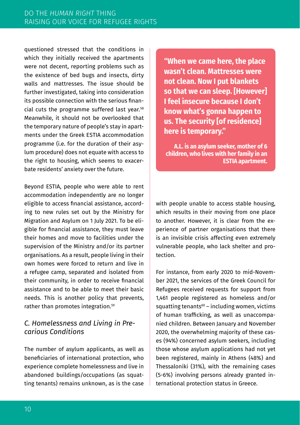questioned stressed that the conditions in which they initially received the apartments were not decent, reporting problems such as the existence of bed bugs and insects, dirty walls and mattresses. The issue should be further investigated, taking into consideration its possible connection with the serious financial cuts the programme suffered last year.<sup>58</sup> Meanwhile, it should not be overlooked that the temporary nature of people's stay in apartments under the Greek ESTIA accommodation programme (i.e. for the duration of their asylum procedure) does not equate with access to the right to housing, which seems to exacerbate residents' anxiety over the future.

Beyond ESTIA, people who were able to rent accommodation independently are no longer eligible to access financial assistance, according to new rules set out by the Ministry for Migration and Asylum on 1 July 2021. To be eligible for financial assistance, they must leave their homes and move to facilities under the supervision of the Ministry and/or its partner organisations. As a result, people living in their own homes were forced to return and live in a refugee camp, separated and isolated from their community, in order to receive financial assistance and to be able to meet their basic needs. This is another policy that prevents, rather than promotes integration.59

#### *C. Homelessness and Living in Precarious Conditions*

The number of asylum applicants, as well as beneficiaries of international protection, who experience complete homelessness and live in abandoned buildings/occupations (as squatting tenants) remains unknown, as is the case

**"When we came here, the place wasn't clean. Mattresses were not clean. Now I put blankets so that we can sleep. [However] I feel insecure because I don't know what's gonna happen to us. The security [of residence] here is temporary."**

**A.L. is an asylum seeker, mother of 6 children, who lives with her family in an ESTIA apartment.** 

with people unable to access stable housing, which results in their moving from one place to another. However, it is clear from the experience of partner organisations that there is an invisible crisis affecting even extremely vulnerable people, who lack shelter and protection.

For instance, from early 2020 to mid-November 2021, the services of the Greek Council for Refugees received requests for support from 1,461 people registered as homeless and/or squatting tenants $60 -$  including women, victims of human trafficking, as well as unaccompanied children. Between January and November 2020, the overwhelming majority of these cases (94%) concerned asylum seekers, including those whose asylum applications had not yet been registered, mainly in Athens (48%) and Thessaloniki (31%), with the remaining cases (5-6%) involving persons already granted international protection status in Greece.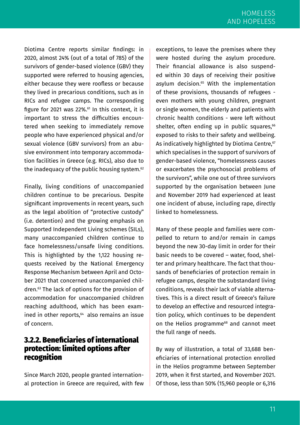Diotima Centre reports similar findings: in 2020, almost 24% (out of a total of 785) of the survivors of gender-based violence (GBV) they supported were referred to housing agencies, either because they were roofless or because they lived in precarious conditions, such as in RICs and refugee camps. The corresponding figure for 2021 was 22%. $61$  In this context, it is important to stress the difficulties encountered when seeking to immediately remove people who have experienced physical and/or sexual violence (GBV survivors) from an abusive environment into temporary accommodation facilities in Greece (e.g. RICs), also due to the inadequacy of the public housing system.<sup>62</sup>

Finally, living conditions of unaccompanied children continue to be precarious. Despite significant improvements in recent years, such as the legal abolition of "protective custody" (i.e. detention) and the growing emphasis on Supported Independent Living schemes (SILs), many unaccompanied children continue to face homelessness/unsafe living conditions. This is highlighted by the 1,122 housing requests received by the National Emergency Response Mechanism between April and October 2021 that concerned unaccompanied children.63 The lack of options for the provision of accommodation for unaccompanied children reaching adulthood, which has been examined in other reports,<sup>64</sup> also remains an issue of concern.

#### 3.2.2. Beneficiaries of international protection: limited options after **recognition**

Since March 2020, people granted international protection in Greece are required, with few exceptions, to leave the premises where they were hosted during the asylum procedure. Their financial allowance is also suspended within 30 days of receiving their positive asylum decision.<sup>65</sup> With the implementation of these provisions, thousands of refugees even mothers with young children, pregnant or single women, the elderly and patients with chronic health conditions - were left without shelter, often ending up in public squares, $66$ exposed to risks to their safety and wellbeing. As indicatively highlighted by Diotima Centre,<sup>67</sup> which specialises in the support of survivors of gender-based violence, "homelessness causes or exacerbates the psychosocial problems of the survivors", while one out of three survivors supported by the organisation between June and November 2019 had experienced at least one incident of abuse, including rape, directly linked to homelessness.

Many of these people and families were compelled to return to and/or remain in camps beyond the new 30-day limit in order for their basic needs to be covered – water, food, shelter and primary healthcare. The fact that thousands of beneficiaries of protection remain in refugee camps, despite the substandard living conditions, reveals their lack of viable alternatives. This is a direct result of Greece's failure to develop an effective and resourced integration policy, which continues to be dependent on the Helios programme<sup>68</sup> and cannot meet the full range of needs.

By way of illustration, a total of 33,688 beneficiaries of international protection enrolled in the Helios programme between September 2019, when it first started, and November 2021. Of those, less than 50% (15,960 people or 6,316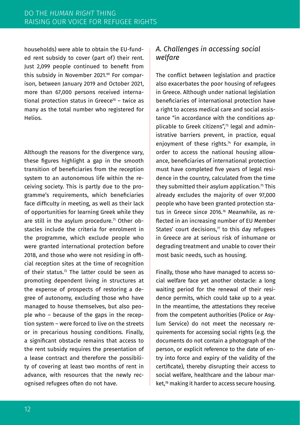households) were able to obtain the EU-funded rent subsidy to cover (part of) their rent. Just 2,099 people continued to benefit from this subsidy in November 2021.69 For comparison, between January 2019 and October 2021, more than 67,000 persons received international protection status in Greece<sup>70</sup> – twice as many as the total number who registered for Helios.

Although the reasons for the divergence vary, these figures highlight a gap in the smooth transition of beneficiaries from the reception system to an autonomous life within the receiving society. This is partly due to the programme's requirements, which beneficiaries face difficulty in meeting, as well as their lack of opportunities for learning Greek while they are still in the asylum procedure.<sup>71</sup> Other obstacles include the criteria for enrolment in the programme, which exclude people who were granted international protection before 2018, and those who were not residing in official reception sites at the time of recognition of their status.<sup>72</sup> The latter could be seen as promoting dependent living in structures at the expense of prospects of restoring a degree of autonomy, excluding those who have managed to house themselves, but also people who – because of the gaps in the reception system – were forced to live on the streets or in precarious housing conditions. Finally, a significant obstacle remains that access to the rent subsidy requires the presentation of a lease contract and therefore the possibility of covering at least two months of rent in advance, with resources that the newly recognised refugees often do not have.

#### *A. Challenges in accessing social welfare*

The conflict between legislation and practice also exacerbates the poor housing of refugees in Greece. Although under national legislation beneficiaries of international protection have a right to access medical care and social assistance "in accordance with the conditions applicable to Greek citizens",<sup>73</sup> legal and administrative barriers prevent, in practice, equal enjoyment of these rights.<sup>74</sup> For example, in order to access the national housing allowance, beneficiaries of international protection must have completed five years of legal residence in the country, calculated from the time they submitted their asylum application. $75$  This already excludes the majority of over 97,000 people who have been granted protection status in Greece since 2016.76 Meanwhile, as reflected in an increasing number of EU Member States' court decisions, $\pi$  to this day refugees in Greece are at serious risk of inhumane or degrading treatment and unable to cover their most basic needs, such as housing.

Finally, those who have managed to access social welfare face yet another obstacle: a long waiting period for the renewal of their residence permits, which could take up to a year. In the meantime, the attestations they receive from the competent authorities (Police or Asylum Service) do not meet the necessary requirements for accessing social rights (e.g. the documents do not contain a photograph of the person, or explicit reference to the date of entry into force and expiry of the validity of the certificate), thereby disrupting their access to social welfare, healthcare and the labour market.<sup>78</sup> making it harder to access secure housing.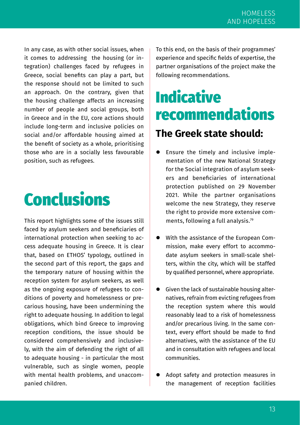In any case, as with other social issues, when it comes to addressing the housing (or integration) challenges faced by refugees in Greece, social benefits can play a part, but the response should not be limited to such an approach. On the contrary, given that the housing challenge affects an increasing number of people and social groups, both in Greece and in the EU, core actions should include long-term and inclusive policies on social and/or affordable housing aimed at the benefit of society as a whole, prioritising those who are in a socially less favourable position, such as refugees.

## **Conclusions**

This report highlights some of the issues still faced by asylum seekers and beneficiaries of international protection when seeking to access adequate housing in Greece. It is clear that, based on ETHOS' typology, outlined in the second part of this report, the gaps and the temporary nature of housing within the reception system for asylum seekers, as well as the ongoing exposure of refugees to conditions of poverty and homelessness or precarious housing, have been undermining the right to adequate housing. In addition to legal obligations, which bind Greece to improving reception conditions, the issue should be considered comprehensively and inclusively, with the aim of defending the right of all to adequate housing - in particular the most vulnerable, such as single women, people with mental health problems, and unaccompanied children.

To this end, on the basis of their programmes' experience and specific fields of expertise, the partner organisations of the project make the following recommendations.

## Indicative recommendations

### **The Greek state should:**

- Ensure the timely and inclusive implementation of the new [National Strategy](https://migration.gov.gr/wp-content/uploads/2021/11/%CE%95%CE%B8%CE%BD%CE%B9%CE%BA%CE%B7%CC%81-%CF%83%CF%84%CF%81%CE%B1%CF%84%CE%B7%CE%B3%CE%B9%CE%BA%CE%B7%CC%81-%CE%B3%CE%B9%CE%B1-%CF%84%CE%B7%CE%BD-%CE%BA%CE%BF%CE%B9%CE%BD%CF%89%CE%BD%CE%B9%CE%BA%CE%B7%CC%81-%CE%B5%CC%81%CE%BD%CF%84%CE%B1%CE%BE%CE%B7-2021.pdf)  [for the Social integration of asylum seek](https://migration.gov.gr/wp-content/uploads/2021/11/%CE%95%CE%B8%CE%BD%CE%B9%CE%BA%CE%B7%CC%81-%CF%83%CF%84%CF%81%CE%B1%CF%84%CE%B7%CE%B3%CE%B9%CE%BA%CE%B7%CC%81-%CE%B3%CE%B9%CE%B1-%CF%84%CE%B7%CE%BD-%CE%BA%CE%BF%CE%B9%CE%BD%CF%89%CE%BD%CE%B9%CE%BA%CE%B7%CC%81-%CE%B5%CC%81%CE%BD%CF%84%CE%B1%CE%BE%CE%B7-2021.pdf)[ers and beneficiaries of international](https://migration.gov.gr/wp-content/uploads/2021/11/%CE%95%CE%B8%CE%BD%CE%B9%CE%BA%CE%B7%CC%81-%CF%83%CF%84%CF%81%CE%B1%CF%84%CE%B7%CE%B3%CE%B9%CE%BA%CE%B7%CC%81-%CE%B3%CE%B9%CE%B1-%CF%84%CE%B7%CE%BD-%CE%BA%CE%BF%CE%B9%CE%BD%CF%89%CE%BD%CE%B9%CE%BA%CE%B7%CC%81-%CE%B5%CC%81%CE%BD%CF%84%CE%B1%CE%BE%CE%B7-2021.pdf)  [protection](https://migration.gov.gr/wp-content/uploads/2021/11/%CE%95%CE%B8%CE%BD%CE%B9%CE%BA%CE%B7%CC%81-%CF%83%CF%84%CF%81%CE%B1%CF%84%CE%B7%CE%B3%CE%B9%CE%BA%CE%B7%CC%81-%CE%B3%CE%B9%CE%B1-%CF%84%CE%B7%CE%BD-%CE%BA%CE%BF%CE%B9%CE%BD%CF%89%CE%BD%CE%B9%CE%BA%CE%B7%CC%81-%CE%B5%CC%81%CE%BD%CF%84%CE%B1%CE%BE%CE%B7-2021.pdf) published on 29 November 2021. While the partner organisations welcome the new Strategy, they reserve the right to provide more extensive comments, following a full analysis.79
- With the assistance of the European Commission, make every effort to accommodate asylum seekers in small-scale shelters, within the city, which will be staffed by qualified personnel, where appropriate.
- Given the lack of sustainable housing alternatives, refrain from evicting refugees from the reception system where this would reasonably lead to a risk of homelessness and/or precarious living. In the same context, every effort should be made to find alternatives, with the assistance of the EU and in consultation with refugees and local communities.
- Adopt safety and protection measures in the management of reception facilities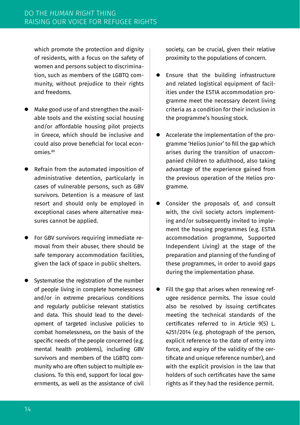which promote the protection and dignity of residents, with a focus on the safety of women and persons subject to discrimination, such as members of the LGBTQ community, without prejudice to their rights and freedoms.

- Make good use of and strengthen the available tools and the existing social housing and/or affordable housing pilot projects in Greece, which should be inclusive and could also prove beneficial for local economies.80
- Refrain from the automated imposition of administrative detention, particularly in cases of vulnerable persons, such as GBV survivors. Detention is a measure of last resort and should only be employed in exceptional cases where alternative measures cannot be applied.
- For GBV survivors requiring immediate removal from their abuser, there should be safe temporary accommodation facilities, given the lack of space in public shelters.
- Systematise the registration of the number of people living in complete homelessness and/or in extreme precarious conditions and regularly publicise relevant statistics and data. This should lead to the development of targeted inclusive policies to combat homelessness, on the basis of the specific needs of the people concerned (e.g. mental health problems), including GBV survivors and members of the LGBTQ community who are often subject to multiple exclusions. To this end, support for local governments, as well as the assistance of civil

society, can be crucial, given their relative proximity to the populations of concern.

- Ensure that the building infrastructure and related logistical equipment of facilities under the ESTIA accommodation programme meet the necessary decent living criteria as a condition for their inclusion in the programme's housing stock.
- Accelerate the implementation of the programme 'Helios Junior' to fill the gap which arises during the transition of unaccompanied children to adulthood, also taking advantage of the experience gained from the previous operation of the Helios programme.
- Consider the proposals of, and consult with, the civil society actors implementing and/or subsequently invited to implement the housing programmes (e.g. ESTIA accommodation programme, Supported Independent Living) at the stage of the preparation and planning of the funding of these programmes, in order to avoid gaps during the implementation phase.
- Fill the gap that arises when renewing refugee residence permits. The issue could also be resolved by issuing certificates meeting the technical standards of the certificates referred to in Article 9(5) [L.](https://www.taxheaven.gr/law/4251/2014)  [4251/2014](https://www.taxheaven.gr/law/4251/2014) (e.g. photograph of the person, explicit reference to the date of entry into force, and expiry of the validity of the certificate and unique reference number), and with the explicit provision in the law that holders of such certificates have the same rights as if they had the residence permit.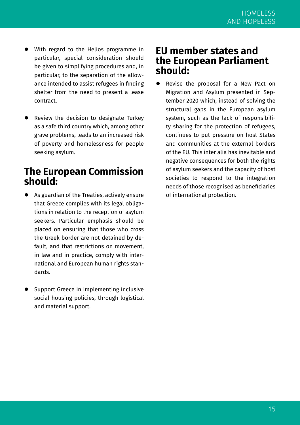- With regard to the Helios programme in particular, special consideration should be given to simplifying procedures and, in particular, to the separation of the allowance intended to assist refugees in finding shelter from the need to present a lease contract.
- Review the decision to designate Turkey as a safe third country which, among other grave problems, leads to an increased risk of poverty and homelessness for people seeking asylum.

### **The European Commission should:**

- As guardian of the Treaties, actively ensure that Greece complies with its legal obligations in relation to the reception of asylum seekers. Particular emphasis should be placed on ensuring that those who cross the Greek border are not detained by default, and that restrictions on movement, in law and in practice, comply with international and European human rights standards.
- Support Greece in implementing inclusive social housing policies, through logistical and material support.

### **EU member states and the European Parliament should:**

 Revise the proposal for a New Pact on Migration and Asylum presented in September 2020 which, instead of solving the structural gaps in the European asylum system, such as the lack of responsibility sharing for the protection of refugees, continues to put pressure on host States and communities at the external borders of the EU. This inter alia has inevitable and negative consequences for both the rights of asylum seekers and the capacity of host societies to respond to the integration needs of those recognised as beneficiaries of international protection.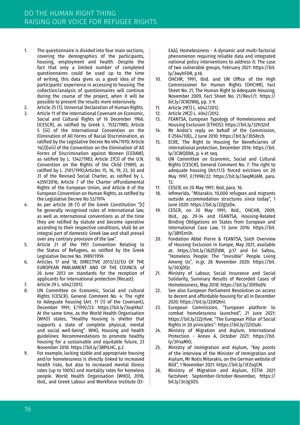- 1. The questionnaire is divided into four main sections, covering the demographics of the participants, housing, employment and health. Despite the fact that only a limited number of completed questionnaires could be used up to the time of writing, this data gives us a good idea of the participants' experience in accessing to housing. The collection/analysis of questionnaires will continue during the course of the project, when it will be possible to present the results more extensively.
- 2. Article 25 (1), Universal Declaration of Human Rights.<br>3. Article 11 of the International Covenant on Economic.
- Article 11 of the International Covenant on Economic, Social and Cultural Rights of 16 December 1966. (ICESCR), as ratified by Greek L. 1532/1985; Article 5 (iii) of the International Convention on the Elimination of All Forms of Racial Discrimination, as ratified by the Legislative Decree No 494/1970; Article 14(2)(viii) of the Convention on the Elimination of All Forms of Discrimination against Women (CEDAW), as ratified by L. 1342/1983; Article 27(3) of the U.N. Convention on the Rights of the Child (1989), as ratified by L. 2101/1992;Articles 15, 16, 19, 23, 30 and 31 of the Revised Social Charter, as ratified by L. 4359/2016; Article 7 of the Charter ofFundamental Rights of the European Union, and Article 8 of the European Convention on Human Rights, as ratified by the Legislative Decree No 53/1974
- 4. As per article 28 (1) of the Greek Constitution "[t] he generally recognised rules of international law, as well as international conventions as of the time they are ratified by statute and become operative according to their respective conditions, shall be an integral part of domestic Greek law and shall prevail over any contrary provision of the law".
- 5. Article 21 of the 1951 Convention Relating to the Status of Refugees, as ratified by the Greek Legislative Decree No. 3989/1959.
- 6. Articles 17 and 18, DIRECTIVE 2013/33/EU OF THE EUROPEAN PARLIAMENT AND OF THE COUNCIL of 26 June 2013 on standards for the reception of applicants for international protection (Recast).
- 7. Article 29 L. 4042/2012.
- 8. UN Committee on Economic, Social and cultural Rights (CESCR), General Comment No. 4: The right to Adequate housing (Art. 11 (1) of the Covenant), December 1991, E/1992/23: https://bit.ly/3oqHXo7. At the same time, as the World Health Organisation (WHO) states, "Healthy housing is shelter that supports a state of complete physical, mental and social well-being". WHO, Housing and health guidelines: Recommendations to promote healthy housing for a sustainable and equitable future, 23 November 2018: https://bit.ly/3BPILHC, p.2
- 9. For example, lacking stable and appropriate housing and/or homelessness is directly linked to increased health risks, but also to increased mental illness rates (up to 100%) and mortality rates for homeless people. World Health Organisation (WHO), 2018, Ibid., and Greek Labour and Workforce Institute (ΕΙ-

ΕΑΔ), Homelessness - Α dynamic and multi-factorial phenomenon requiring reliable data and integrated national policy interventions to address it: The case of two vulnerable groups, February 2021: https://bit. ly/3wyhFDR, p.16.

- 10. OHCHR, 1991, Ibid. and UN Office of the High Commissioner for Human Rights (OHCHR), Fact Sheet No. 21, The Human Right to Adequate Housing, November 2009, Fact Sheet No. 21/Rev.1/1: https:// bit.ly/3CW2W8j, pp. 3-9.
- 11. Article 29(1) L. 4042/2012.<br>12. Article 29(2) L. 4042/2012.
- 12. Article 29(2) L. 4042/2012.<br>13. FEANTSA. European Typol
- FEANTSA, European Typology of Homelessness and Housing Exclusion (ETHOS): https://bit.ly/32H32nf.
- 14. Mr Andor's reply on behalf of the Commission, E-2564/10EL, 2 June 2010: https://bit.ly/3bS8rcb.
- 15. ECRE, The Right to Housing for Beneficiaries of international protection, December 2016: https://bit. ly/3CWQDbK, p. 4 et seq.
- 16. UN Committee on Economic, Social and Cultural Rights (CESCR), General Comment No. 7: The right to adequate housing (Art.11.1): forced evictions on 20 May 1997, E/1998/22: https://bit.ly/3wqMUAM, para. 13.
- 17. CESCR, on 20 May 1997, Ibid, para. 16.<br>18. Llefimerida "Mitarakis: 10,000 refugee
- 18. Iefimerida, "Mitarakis: 10,000 refugees and migrants outside accommodation structures since today", 1 June 2020: https://bit.ly/2Zg5zDe.
- 19. CESCR, on 20 May 1991, Ibid., OHCHR, 2009, Ibid., pp. 29-34 and FEANTSA, Housing-Related Binding Obligations on States from European and International Case Law, 13 June 2016: https://bit. ly/3BYEm5h.
- 20. Fondation Abbé Pierre & FEANTSA, Sixth Overview of Housing Exclusion in Europe, May 2021, available at: https://bit.ly/3bZQTdW, p.17 and Evi Saltou, "Homeless People: The "Invisible" People Living Among Us", in.gr, 28 November 2020: https://bit. ly/303jDQr.
- 21. Ministry of Labour, Social Insurance and Social Solidarity, Summary Results of Recorded Cases of Homelessness, May 2018: https://bit.ly/3Dt9oDV.
- 22. See also European Parliament Resolution on access to decent and affordable housing for all in December 2020: https://bit.ly/2ZdQXnI.
- 23. European Commission, "European platform to combat homelessness launched", 21 June 2021: https://bit.ly/2ZjrXvw; "The European Pillar of Social Rights in 20 principles": https://bit.ly/2ZiOsAI.
- 24. Ministry of Migration and Asylum, International Protection - Annex A, October 2021: https://bit. ly/3FnaMIO.
- 25. Ministry of Immigration and Asylum, "Key points of the interview of the Minister of Immigration and Asylum, Mr Notis Mitarakis, on the German website of Bild", 1 November 2021: https://bit.ly/3FZsqCM.
- 26. Ministry of Migration and Asylum, ESTIA 2021 factsheet: September-October-November, https:// bit.ly/3n3g3OS.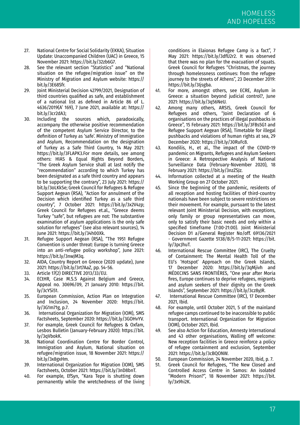- 27. National Centre for Social Solidarity (EKKA), Situation Update: Unaccompanied Children (UAC) in Greece, 15 November 2021: https://bit.ly/32zb6G7.
- 28. See the relevant section "Statistics" and "National situation on the refugee/migration issue" on the Ministry of Migration and Asylum website: https:// bit.ly/3E68Sfr.
- 29. Joint Ministerial Decision 42799/2021, Designation of third countries qualified as safe, and establishment of a national list as defined in Article 86 of L. 4636/2019(A' 169), 7 June 2021, available at: https:// bit.ly/3cr2dA3;
- 30. Including the sources which, paradoxically, accompany the otherwise positive recommendation of the competent Asylum Service Director, to the definition of Turkey as 'safe'. Ministry of Immigration and Asylum, Recommendation on the designation of Turkey as a Safe Third Country, 14 May 2021: https://bit.ly/3FLAPK3.For more details, see among others: HIAS & Equal Rights Beyond Borders, "The Greek Asylum Service shall at last notify the "recommendation" according to which Turkey has been designated as a safe third country and appears to be supporting the contrary", 23 July 2021: https:// bit.ly/3oLKkSe; Greek Council for Refugees & Refugee Support Aegean (RSA), "Action for annulment of the Decision which identified Turkey as a safe third country", 7 October 2021: https://bit.ly/3x2V4zp; Greek Council for Refugees et.al., "Greece deems Turkey "safe", but refugees are not: The substantive examination of asylum applications is the only safe solution for refugees" (see also relevant sources), 14 June 2021: https://bit.ly/34h00Xk.
- 31. Refugee Support Aegean (RSA), "The 1951 Refugee Convention is under threat: Europe is turning Greece into an anti-refugee policy workshop", June 2021: https://bit.ly/3nwJM3q.
- 32. AIDA, Country Report on Greece (2020 update), June 2021: https://bit.ly/3rt7AaZ, pp. 54-56.
- 33. Article 17(2) DIRECTIVE 2013/33/EU.<br>34 ECTHR, Case MSS Against Belgi
- ECtHR, Case M.S.S Against Belgium and Greece, Appeal no. 30696/09, 21 January 2010: https://bit. ly/3cYSi51.
- 35. European Commission, Action Plan on Integration and Inclusion, 24 November 2020: https://bit. ly/3G1m71g, p.7.
- 36. International Organization for Migration (IOM), SMS Factsheets, September 2020: https://bit.ly/3GOHvYV.
- 37. For example, Greek Council for Refugees & Oxfam, Lesbos Bulletin (January-February 2020): https://bit. ly/3qVbokK.
- 38. National Coordination Centre for Border Control, Immigration and Asylum, National situation on refugee/migration issue, 18 November 2021: https:// bit.ly/3x8gxHm.
- 39. International Organization for Migration (IOM), SMS Factsheets, October 2021: https://bit.ly/3nD8bnT.
- 40. For example, EfSyn, "Kara Tepe is shutting down permanently while the wretchedness of the living

conditions in Elaionas Refugee Camp is a fact", 7 May 2021: https://bit.ly/3dfU2r2. It was observed that there was no plan for the evacuation of squats. Greek Council for Refugees "Christmas, the journey through homelessness continues: from the refugee journey to the streets of Athens", 23 December 2019: https://bit.ly/3Ijsgba.

- 41. For more, amongst others, see ECRE, Asylum in Greece: a situation beyond judicial control?, June 2021: https://bit.ly/3q56NeU.
- 42. Among many others, ARSIS, Greek Council for Refugees and others, "Joint Declaration of 6 organisations on the practices of illegal pushbacks in Greece", 15 February 2021: https://bit.ly/3FBs5G1 and Refugee Support Aegean (RSA), Timetable for illegal pushbacks and violations of human rights at sea, 29 December 2020: https://bit.ly/30RuFc8.
- 43. Kondilis, H., et al., The impact of the COVID-19 pandemic on Migrants, Refugees and Asylum Seekers in Greece: A Retrospective Analysis of National Surveillance Data (February-November 2020), 18 February 2021: https://bit.ly/3nzZSJz.
- 44. Information collected at a meeting of the Health Working Group on 27 October 2021.
- 45. Since the beginning of the pandemic, residents of all reception and hosting facilities of third-country nationals have been subject to severe restrictions on their movement. For example, pursuant to the latest relevant Joint Ministerial Decision, with exceptions, only family or group representatives can move, only to satisfy their basic needs and only within a specified timeframe (7:00-21:00). Joint Ministerial Decision D1 a/General Register No/off. 69136/2021 - Government Gazette 5138/B/5-11-2021: https://bit. ly/3pcJhuT.
- 46. International Rescue Committee (IRC), The Cruelty of Containment: The Mental Health Toll of the EU's 'Hotspot' Approach on the Greek Islands, 17 December 2020: https://bit.ly/3qMjivh and MÉDECINS SANS FRONTIÈRES, "One year after Moria fires, Europe continues to deprive refugees, migrants and asylum seekers of their dignity on the Greek Islands", September 2021: https://bit.ly/3cz8yJR.
- 47. International Rescue Committee (IRC), 17 December 2021, Ibid.
- 48. For example, until October 2021, 5 of the mainland refugee camps continued to be inaccessible to public transport. International Organization for Migration (IOM), October 2021, Ibid.
- 49. See also Action for Education, Amnesty International and 43 other organisations, Walling off welcome: New reception facilities in Greece reinforce a policy of refugee containment and exclusion, September 2021: https://bit.ly/3cBQONW.
- 50. European Commission, 24 November 2020, Ibid, p. 7.
- Greek Council for Refugees, "The New Closed and Controlled Access Centre in Samos: An isolated "Modern Prison?", 18 November 2021: https://bit. ly/3x9hi2K.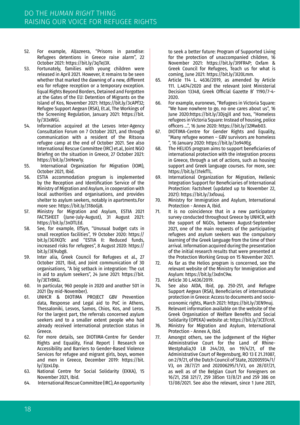- 52. For example, AlJazeera, "Prisons in paradise: Refugees detentions in Greece raise alarm", 22 October 2021: https://bit.ly/3qTeJ3X.
- 53. Fortunately, families with young children were released in April 2021. However, it remains to be seen whether that marked the dawning of a new, different era for refugee reception or a temporary exception. Equal Rights Beyond Borders, Detained and Forgotten at the Gates of the EU: Detention of Migrants on the Island of Kos, November 2021: https://bit.ly/3cAPf32; Refugee Support Aegean (RSA), Et.al, The Workings of the Screening Regulation, January 2021: https://bit. ly/3I3xWGi.
- 54. Information acquired at the Lesvos Inter-Agency Consultation Forum on 7 October 2021, and through communication with a resident of the Ritsona refugee camp at the end of October 2021. See also International Rescue Committee (IRC) et.al, Joint NGO Briefing on the situation in Greece, 27 October 2021: https://bit.ly/3nHew1y.
- 55. International Organization for Migration (IOM), October 2021, Ibid.
- 56. ESTIA accommodation program is implemented by the Reception and Identification Service of the Ministry of Migration and Asylum, in cooperation with local authorities and organisations, and provides shelter to asylum seekers, notably in apartments.For more see: https://bit.ly/318oGj8.
- 57. Ministry for Migration and Asylum, ΕSTIA 2021 FACTSHEET (June-July-August), 31 August 2021: https://bit.ly/3nDTLEd.
- 58. See, for example, EfSyn, "Unusual budget cuts in small reception facilities", 19 October 2020: https:// bit.ly/3G1KQTc and "ESTIA II: Reduced funds, increased risks for refugees", 8 August 2020: https:// bit.ly/3E9ubg8.
- 59. Inter alia, Greek Council for Refugees et al., 27 October 2021, Ibid, and Joint communication of 30 organisations, "A big setback in integration: The cut in aid to asylum seekers", 24 June 2021: https://bit. ly/3ETrBKG.
- 60. In particular, 960 people in 2020 and another 501 in 2021 (by mid-November).
- 61. UNHCR & DIOTIMA PROJECT GBV Prevention data, Response and Legal aid to PoC in Athens, Thessaloniki, Lesvos, Samos, Chios, Kos, and Leros. For the largest part, the referrals concerned asylum seekers and to a smaller extent people who had already received international protection status in Greece.
- 62. For more details, see DIOTIMA-Centre for Gender Rights and Equality, Final Report | Research on Accessibility and Barriers to Gender-Based Violence Services for refugee and migrant girls, boys, women and men in Greece, December 2019: https://bit. ly/3JzxLDp.
- 63. National Centre for Social Solidarity (ΕΚΚΑ), 15 November 2021, Ibid.
- 64. International Rescue Committee (IRC), An opportunity

to seek a better future: Program of Supported Living for the protection of unaccompanied children, 16 November 2021: https://bit.ly/3I9FR4P; Oxfam & Greek Council for Refugees, Teach us for what is coming, June 2021: https://bit.ly/3I20Lmm.

- 65. Article 114 L. 4636/2019, as amended by Article 111. L.4674/2020 and the relevant Joint Ministerial Decision 13348, Greek Official Gazette B' 1190/7-4- 2020.
- 66. For example, euronews, "Refugees in Victoria Square: "We have nowhere to go, no one cares about us", 16 June 2020:https://bit.ly/3DjqjIl and tvxs, "Homeless refugees in Victoria Square: Instead of housing, police officers ...", 16 June 2020: https://bit.ly/32Mwb03.
- 67. DIOTIMA-Centre for Gender Rights and Equality, "Many refugee women – GBV survivors are homeless ", 16 January 2020: https://bit.ly/3o949Eg.
- 68. The HELIOS program aims to support beneficiaries of international protection with the integration process in Greece, through a set of actions, such as housing support and Greek language courses. For more, see: https://bit.ly/31ekfTL.
- 69. International Organization for Migration, Hellenic Integration Support for Beneficiaries of International Protection: Factsheet (updated up to November 22, 2021): https://bit.ly/3xfouuj.
- 70. Ministry for Immigration and Asylum, International Protection - Annex Α, Ibid.
- 71. It is no coincidence that in a new participatory survey conducted throughout Greece by UNΗCR, with the support of NGOs, between August-September 2021, one of the main requests of the participating refugees and asylum seekers was the compulsory learning of the Greek language from the time of their arrival. Information acquired during the presentation of the initial research results that were presented at the Protection Working Group on 15 November 2021.
- 72. As far as the Helios program is concerned, see the relevant website of the Ministry for Immigration and Asylum: https://bit.ly/3xdnC9w.
- 73. Article 30 L.4636/2019.
- See also AIDA, Ibid, pp. 250-251, and Refugee Support Aegean (RSA), Beneficiaries of international protection in Greece: Access to documents and socioeconomic rights, March 2021: https://bit.ly/3EN9nuj.
- 75. Relevant information available on the website of the Greek Organisation of Welfare Benefits and Social Solidarity (OPEKA) website at: https://bit.ly/3CEFcnX.
- 76. Ministry for Migration and Asylum, International Protection - Annex A, Ibid.
- 77. Amongst others, see the judgement of the Higher Administrative Court for the Land of Rhine-Westphalia,10 LB 244/20, on 19/4/21, of the Administrative Court of Regensburg, RO 13 E 21.31087, on 2/9/21, of the Dutch Council of State, 202005934/1/ V3, on 28/7/21 and 202006295/1/V3, on 28/07/21, as well as of the Belgian Court for Foreigners on 16/21, 258 321/7, 259 385on 13/8/21 and 259 386 on 13/08/2021. See also the relevant, since 1 June 2021,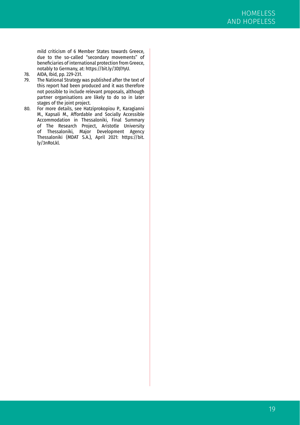mild criticism of 6 Member States towards Greece, due to the so-called "secondary movements" of beneficiaries of international protection from Greece, notably to Germany, at: https://bit.ly/3DJlYyU.

- 78. AIDA, Ibid, pp. 229-231.<br>79 The National Strategy v
- The National Strategy was published after the text of this report had been produced and it was therefore not possible to include relevant proposals, although partner organisations are likely to do so in later stages of the joint project.
- 80. For more details, see Hatziprokopiou P., Karagianni M., Kapsali M., Affordable and Socially Accessible Accommodation in Thessaloniki, Final Summary of The Research Project, Aristotle University of Thessaloniki, Major Development Agency Thessaloniki (MDAT S.A.), April 2021: https://bit. ly/3nRoLkl.